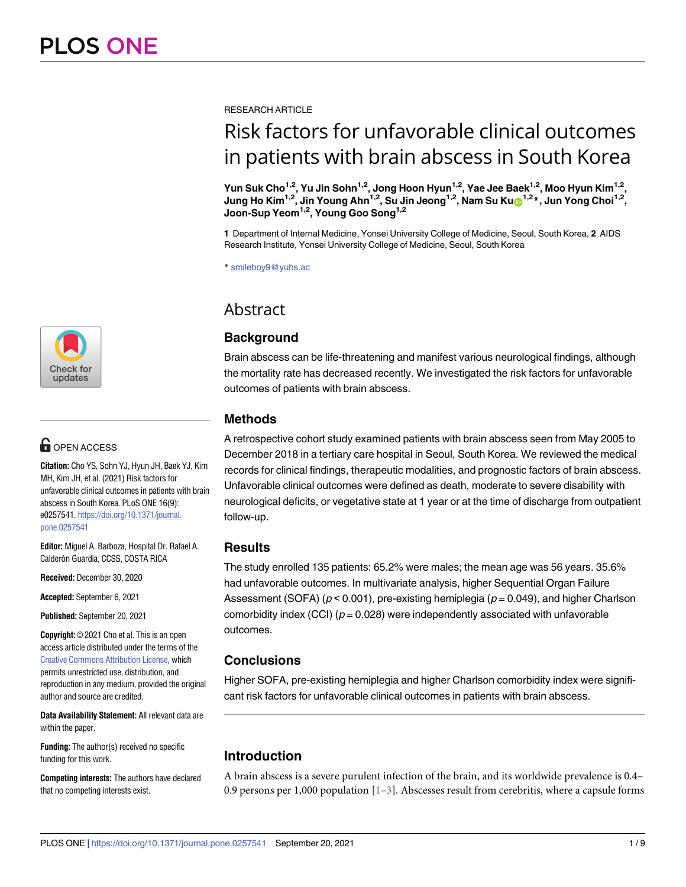[a1111111111](http://crossmark.crossref.org/dialog/?doi=10.1371/journal.pone.0257541&domain=pdf&date_stamp=2021-09-20)  $\blacksquare$ [a1111111111](http://crossmark.crossref.org/dialog/?doi=10.1371/journal.pone.0257541&domain=pdf&date_stamp=2021-09-20) Check for updates

# **G** OPEN ACCESS

**Citation:** Cho YS, Sohn YJ, Hyun JH, Baek YJ, Kim MH, Kim JH, et al. (2021) Risk factors for unfavorable clinical outcomes in patients with brain abscess in South Korea. PLoS ONE 16(9): e0257541. [https://doi.org/10.1371/journal.](https://doi.org/10.1371/journal.pone.0257541) [pone.0257541](https://doi.org/10.1371/journal.pone.0257541)

**Editor:** Miguel A. Barboza, Hospital Dr. Rafael A. Calderón Guardia, CCSS, COSTA RICA

**Received:** December 30, 2020

**Accepted:** September 6, 2021

**Published:** September 20, 2021

**Copyright:** © 2021 Cho et al. This is an open access article distributed under the terms of the Creative Commons [Attribution](http://creativecommons.org/licenses/by/4.0/) License, which permits unrestricted use, distribution, and reproduction in any medium, provided the original author and source are credited.

**Data Availability Statement:** All relevant data are within the paper.

**Funding:** The author(s) received no specific funding for this work.

**Competing interests:** The authors have declared that no competing interests exist.

<span id="page-0-0"></span>RESEARCH ARTICLE

# Risk factors for unfavorable clinical outcomes in patients with brain abscess in South Korea

**Yun Suk Cho1,2, Yu Jin Sohn1,2, Jong Hoon Hyun1,2, Yae Jee Baek1,2, Moo Hyun Kim1,2, Jung Ho Kim1,2, Jin Young Ahn1,2, Su Jin Jeong1,2, Nam Su Ku[ID1](https://orcid.org/0000-0002-9717-4327),2\*, Jun Yong Choi1,2, Joon-Sup Yeom1,2, Young Goo Song1,2**

**1** Department of Internal Medicine, Yonsei University College of Medicine, Seoul, South Korea, **2** AIDS Research Institute, Yonsei University College of Medicine, Seoul, South Korea

\* smileboy9@yuhs.ac

# Abstract

# **Background**

Brain abscess can be life-threatening and manifest various neurological findings, although the mortality rate has decreased recently. We investigated the risk factors for unfavorable outcomes of patients with brain abscess.

# **Methods**

A retrospective cohort study examined patients with brain abscess seen from May 2005 to December 2018 in a tertiary care hospital in Seoul, South Korea. We reviewed the medical records for clinical findings, therapeutic modalities, and prognostic factors of brain abscess. Unfavorable clinical outcomes were defined as death, moderate to severe disability with neurological deficits, or vegetative state at 1 year or at the time of discharge from outpatient follow-up.

# **Results**

The study enrolled 135 patients: 65.2% were males; the mean age was 56 years. 35.6% had unfavorable outcomes. In multivariate analysis, higher Sequential Organ Failure Assessment (SOFA) ( $p < 0.001$ ), pre-existing hemiplegia ( $p = 0.049$ ), and higher Charlson comorbidity index (CCI) ( $p = 0.028$ ) were independently associated with unfavorable outcomes.

# **Conclusions**

Higher SOFA, pre-existing hemiplegia and higher Charlson comorbidity index were significant risk factors for unfavorable clinical outcomes in patients with brain abscess.

# **Introduction**

A brain abscess is a severe purulent infection of the brain, and its worldwide prevalence is 0.4– 0.9 persons per 1,000 population  $[1-3]$ . Abscesses result from cerebritis, where a capsule forms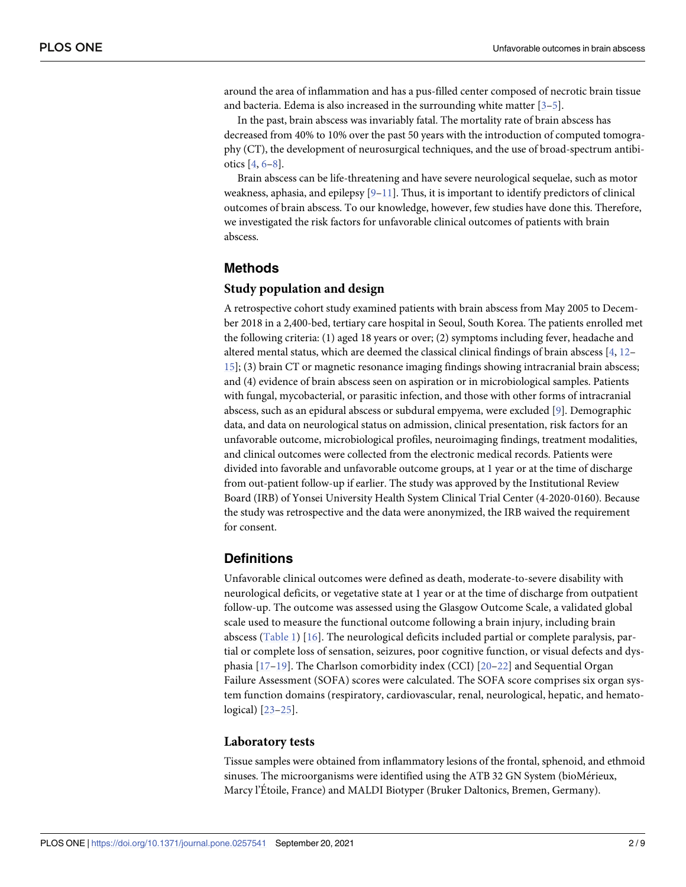<span id="page-1-0"></span>around the area of inflammation and has a pus-filled center composed of necrotic brain tissue and bacteria. Edema is also increased in the surrounding white matter [\[3–5\]](#page-6-0).

In the past, brain abscess was invariably fatal. The mortality rate of brain abscess has decreased from 40% to 10% over the past 50 years with the introduction of computed tomography (CT), the development of neurosurgical techniques, and the use of broad-spectrum antibiotics [\[4,](#page-6-0) [6–8](#page-6-0)].

Brain abscess can be life-threatening and have severe neurological sequelae, such as motor weakness, aphasia, and epilepsy  $[9-11]$ . Thus, it is important to identify predictors of clinical outcomes of brain abscess. To our knowledge, however, few studies have done this. Therefore, we investigated the risk factors for unfavorable clinical outcomes of patients with brain abscess.

# **Methods**

### **Study population and design**

A retrospective cohort study examined patients with brain abscess from May 2005 to December 2018 in a 2,400-bed, tertiary care hospital in Seoul, South Korea. The patients enrolled met the following criteria: (1) aged 18 years or over; (2) symptoms including fever, headache and altered mental status, which are deemed the classical clinical findings of brain abscess [[4,](#page-6-0) [12](#page-6-0)– [15\]](#page-6-0); (3) brain CT or magnetic resonance imaging findings showing intracranial brain abscess; and (4) evidence of brain abscess seen on aspiration or in microbiological samples. Patients with fungal, mycobacterial, or parasitic infection, and those with other forms of intracranial abscess, such as an epidural abscess or subdural empyema, were excluded [\[9\]](#page-6-0). Demographic data, and data on neurological status on admission, clinical presentation, risk factors for an unfavorable outcome, microbiological profiles, neuroimaging findings, treatment modalities, and clinical outcomes were collected from the electronic medical records. Patients were divided into favorable and unfavorable outcome groups, at 1 year or at the time of discharge from out-patient follow-up if earlier. The study was approved by the Institutional Review Board (IRB) of Yonsei University Health System Clinical Trial Center (4-2020-0160). Because the study was retrospective and the data were anonymized, the IRB waived the requirement for consent.

# **Definitions**

Unfavorable clinical outcomes were defined as death, moderate-to-severe disability with neurological deficits, or vegetative state at 1 year or at the time of discharge from outpatient follow-up. The outcome was assessed using the Glasgow Outcome Scale, a validated global scale used to measure the functional outcome following a brain injury, including brain abscess ([Table](#page-2-0) 1) [[16\]](#page-6-0). The neurological deficits included partial or complete paralysis, partial or complete loss of sensation, seizures, poor cognitive function, or visual defects and dysphasia [[17](#page-6-0)–[19](#page-7-0)]. The Charlson comorbidity index (CCI) [\[20–22\]](#page-7-0) and Sequential Organ Failure Assessment (SOFA) scores were calculated. The SOFA score comprises six organ system function domains (respiratory, cardiovascular, renal, neurological, hepatic, and hematological) [[23](#page-7-0)–[25](#page-7-0)].

### **Laboratory tests**

Tissue samples were obtained from inflammatory lesions of the frontal, sphenoid, and ethmoid sinuses. The microorganisms were identified using the ATB 32 GN System (bioMérieux, Marcy l'Étoile, France) and MALDI Biotyper (Bruker Daltonics, Bremen, Germany).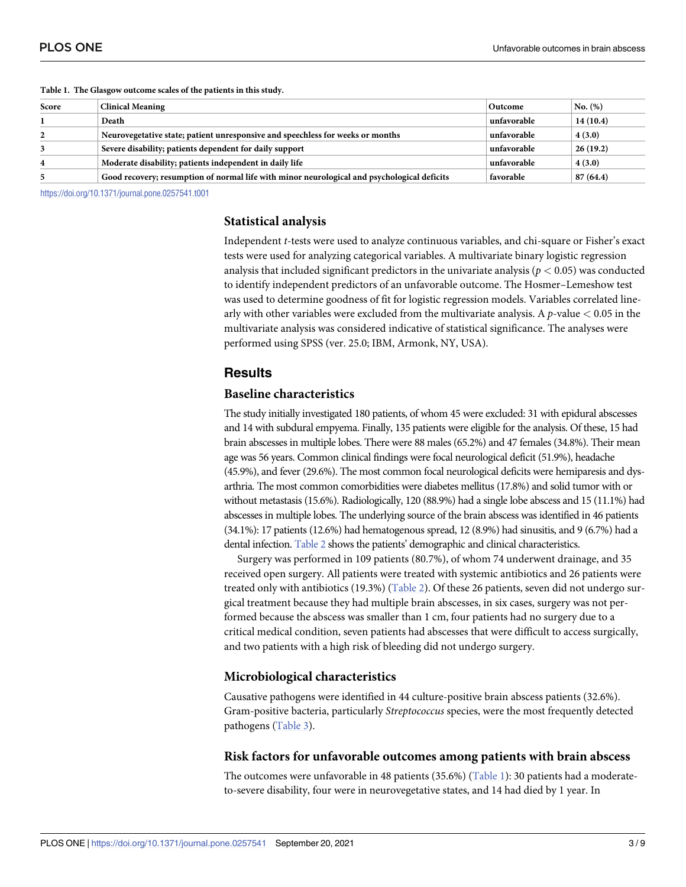| Score | <b>Clinical Meaning</b>                                                                     | Outcome     | No. (%)  |
|-------|---------------------------------------------------------------------------------------------|-------------|----------|
|       | Death                                                                                       | unfavorable | 14(10.4) |
|       | Neurovegetative state; patient unresponsive and speechless for weeks or months              | unfavorable | 4(3.0)   |
|       | Severe disability; patients dependent for daily support                                     | unfavorable | 26(19.2) |
|       | Moderate disability; patients independent in daily life                                     | unfavorable | 4(3.0)   |
|       | Good recovery; resumption of normal life with minor neurological and psychological deficits | favorable   | 87(64.4) |

#### <span id="page-2-0"></span>**[Table](#page-1-0) 1. The Glasgow outcome scales of the patients in this study.**

<https://doi.org/10.1371/journal.pone.0257541.t001>

### **Statistical analysis**

Independent *t*-tests were used to analyze continuous variables, and chi-square or Fisher's exact tests were used for analyzing categorical variables. A multivariate binary logistic regression analysis that included significant predictors in the univariate analysis ( $p < 0.05$ ) was conducted to identify independent predictors of an unfavorable outcome. The Hosmer–Lemeshow test was used to determine goodness of fit for logistic regression models. Variables correlated linearly with other variables were excluded from the multivariate analysis. A *p*-value *<* 0.05 in the multivariate analysis was considered indicative of statistical significance. The analyses were performed using SPSS (ver. 25.0; IBM, Armonk, NY, USA).

## **Results**

# **Baseline characteristics**

The study initially investigated 180 patients, of whom 45 were excluded: 31 with epidural abscesses and 14 with subdural empyema. Finally, 135 patients were eligible for the analysis. Of these, 15 had brain abscesses in multiple lobes. There were 88 males (65.2%) and 47 females (34.8%). Their mean age was 56 years. Common clinical findings were focal neurological deficit (51.9%), headache (45.9%), and fever (29.6%). The most common focal neurological deficits were hemiparesis and dysarthria. The most common comorbidities were diabetes mellitus (17.8%) and solid tumor with or without metastasis (15.6%). Radiologically, 120 (88.9%) had a single lobe abscess and 15 (11.1%) had abscesses in multiple lobes. The underlying source of the brain abscess was identified in 46 patients (34.1%): 17 patients (12.6%) had hematogenous spread, 12 (8.9%) had sinusitis, and 9 (6.7%) had a dental infection. [Table](#page-3-0) 2 shows the patients' demographic and clinical characteristics.

Surgery was performed in 109 patients (80.7%), of whom 74 underwent drainage, and 35 received open surgery. All patients were treated with systemic antibiotics and 26 patients were treated only with antibiotics (19.3%) ([Table](#page-3-0) 2). Of these 26 patients, seven did not undergo surgical treatment because they had multiple brain abscesses, in six cases, surgery was not performed because the abscess was smaller than 1 cm, four patients had no surgery due to a critical medical condition, seven patients had abscesses that were difficult to access surgically, and two patients with a high risk of bleeding did not undergo surgery.

### **Microbiological characteristics**

Causative pathogens were identified in 44 culture-positive brain abscess patients (32.6%). Gram-positive bacteria, particularly *Streptococcus* species, were the most frequently detected pathogens [\(Table](#page-4-0) 3).

### **Risk factors for unfavorable outcomes among patients with brain abscess**

The outcomes were unfavorable in 48 patients (35.6%) (Table 1): 30 patients had a moderateto-severe disability, four were in neurovegetative states, and 14 had died by 1 year. In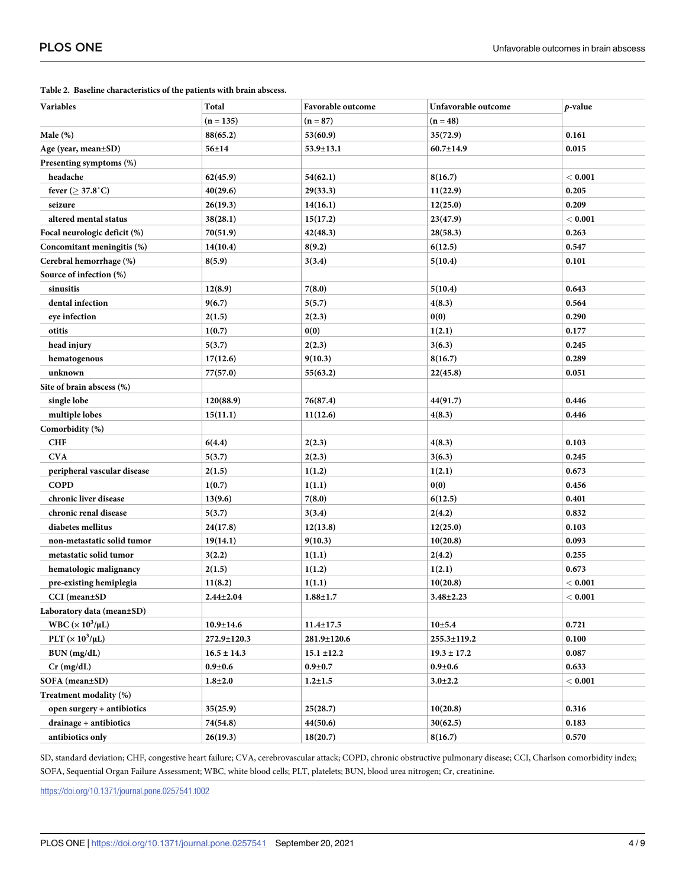| Variables                           | Total           | Favorable outcome | Unfavorable outcome | p-value   |
|-------------------------------------|-----------------|-------------------|---------------------|-----------|
|                                     | $(n = 135)$     | $(n = 87)$        | $(n = 48)$          |           |
| Male $(\%)$                         | 88(65.2)        | 53(60.9)          | 35(72.9)            | 0.161     |
| Age (year, mean±SD)                 | $56 + 14$       | 53.9±13.1         | $60.7 \pm 14.9$     | 0.015     |
| Presenting symptoms (%)             |                 |                   |                     |           |
| headache                            | 62(45.9)        | 54(62.1)          | 8(16.7)             | < 0.001   |
| fever ( $\geq$ 37.8°C)              | 40(29.6)        | 29(33.3)          | 11(22.9)            | 0.205     |
| seizure                             | 26(19.3)        | 14(16.1)          | 12(25.0)            | 0.209     |
| altered mental status               | 38(28.1)        | 15(17.2)          | 23(47.9)            | < 0.001   |
| Focal neurologic deficit (%)        | 70(51.9)        | 42(48.3)          | 28(58.3)            | 0.263     |
| Concomitant meningitis (%)          | 14(10.4)        | 8(9.2)            | 6(12.5)             | 0.547     |
| Cerebral hemorrhage (%)             | 8(5.9)          | 3(3.4)            | 5(10.4)             | 0.101     |
| Source of infection (%)             |                 |                   |                     |           |
| sinusitis                           | 12(8.9)         | 7(8.0)            | 5(10.4)             | 0.643     |
| dental infection                    | 9(6.7)          | 5(5.7)            | 4(8.3)              | 0.564     |
| eye infection                       | 2(1.5)          | 2(2.3)            | 0(0)                | 0.290     |
| otitis                              | 1(0.7)          | 0(0)              | 1(2.1)              | 0.177     |
| head injury                         | 5(3.7)          | 2(2.3)            | 3(6.3)              | 0.245     |
| hematogenous                        | 17(12.6)        | 9(10.3)           | 8(16.7)             | 0.289     |
| unknown                             | 77(57.0)        | 55(63.2)          | 22(45.8)            | 0.051     |
| Site of brain abscess (%)           |                 |                   |                     |           |
| single lobe                         | 120(88.9)       | 76(87.4)          | 44(91.7)            | 0.446     |
| multiple lobes                      | 15(11.1)        | 11(12.6)          | 4(8.3)              | 0.446     |
| Comorbidity (%)                     |                 |                   |                     |           |
| <b>CHF</b>                          | 6(4.4)          | 2(2.3)            | 4(8.3)              | 0.103     |
| <b>CVA</b>                          | 5(3.7)          | 2(2.3)            | 3(6.3)              | 0.245     |
| peripheral vascular disease         | 2(1.5)          | 1(1.2)            | 1(2.1)              | 0.673     |
| <b>COPD</b>                         | 1(0.7)          | 1(1.1)            | 0(0)                | 0.456     |
| chronic liver disease               | 13(9.6)         | 7(8.0)            | 6(12.5)             | 0.401     |
| chronic renal disease               | 5(3.7)          | 3(3.4)            | 2(4.2)              | 0.832     |
| diabetes mellitus                   | 24(17.8)        | 12(13.8)          | 12(25.0)            | 0.103     |
| non-metastatic solid tumor          | 19(14.1)        | 9(10.3)           | 10(20.8)            | 0.093     |
| metastatic solid tumor              | 3(2.2)          | 1(1.1)            | 2(4.2)              | 0.255     |
| hematologic malignancy              | 2(1.5)          | 1(1.2)            | 1(2.1)              | 0.673     |
| pre-existing hemiplegia             | 11(8.2)         | 1(1.1)            | 10(20.8)            | < 0.001   |
| CCI (mean±SD                        | $2.44 \pm 2.04$ | $1.88 \pm 1.7$    | $3.48 \pm 2.23$     | $<$ 0.001 |
| Laboratory data (mean±SD)           |                 |                   |                     |           |
| WBC ( $\times$ 10 <sup>3</sup> /µL) | $10.9 \pm 14.6$ | $11.4 \pm 17.5$   | 10±5.4              | 0.721     |
| PLT ( $\times 10^3/\mu L$ )         | 272.9±120.3     | 281.9±120.6       | 255.3±119.2         | 0.100     |
| BUN (mg/dL)                         | $16.5 \pm 14.3$ | $15.1 \pm 12.2$   | $19.3 \pm 17.2$     | 0.087     |
| $Cr$ (mg/dL)                        | $0.9 + 0.6$     | $0.9 + 0.7$       | $0.9 + 0.6$         | 0.633     |
| SOFA (mean±SD)                      | $1.8 + 2.0$     | $1.2 + 1.5$       | $3.0 \pm 2.2$       | $<$ 0.001 |
| Treatment modality (%)              |                 |                   |                     |           |
| open surgery + antibiotics          | 35(25.9)        | 25(28.7)          | 10(20.8)            | 0.316     |
| drainage + antibiotics              | 74(54.8)        | 44(50.6)          | 30(62.5)            | 0.183     |
| antibiotics only                    | 26(19.3)        | 18(20.7)          | 8(16.7)             | 0.570     |
|                                     |                 |                   |                     |           |

### <span id="page-3-0"></span>**[Table](#page-2-0) 2. Baseline characteristics of the patients with brain abscess.**

SD, standard deviation; CHF, congestive heart failure; CVA, cerebrovascular attack; COPD, chronic obstructive pulmonary disease; CCI, Charlson comorbidity index; SOFA, Sequential Organ Failure Assessment; WBC, white blood cells; PLT, platelets; BUN, blood urea nitrogen; Cr, creatinine.

<https://doi.org/10.1371/journal.pone.0257541.t002>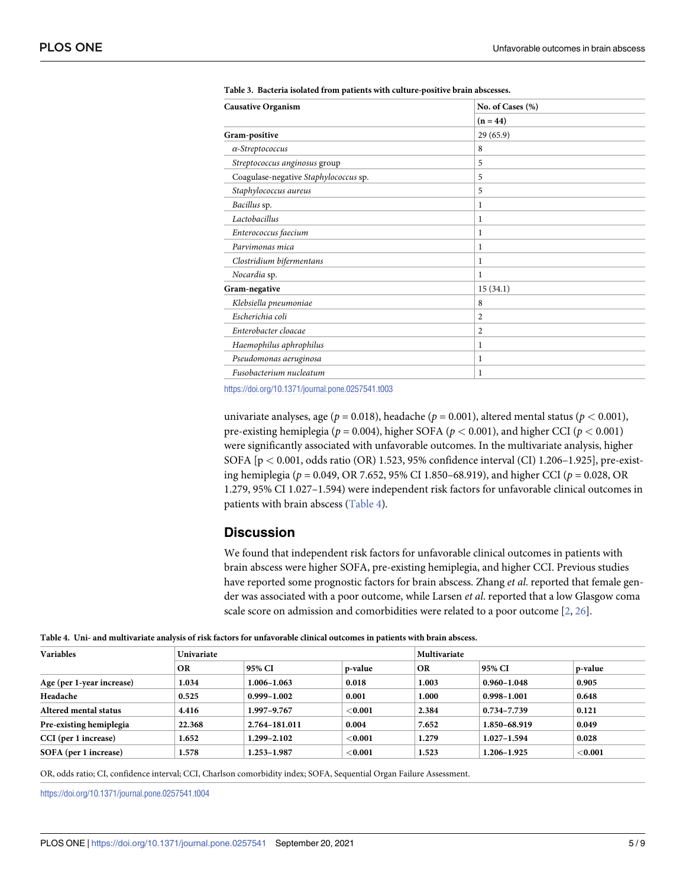<span id="page-4-0"></span>

| <b>Causative Organism</b>             | No. of Cases (%) |  |  |
|---------------------------------------|------------------|--|--|
|                                       | $(n = 44)$       |  |  |
| Gram-positive                         | 29(65.9)         |  |  |
| $\alpha$ -Streptococcus               | 8                |  |  |
| Streptococcus anginosus group         | 5                |  |  |
| Coagulase-negative Staphylococcus sp. | 5                |  |  |
| Staphylococcus aureus                 | 5                |  |  |
| Bacillus sp.                          | 1                |  |  |
| Lactobacillus                         | 1                |  |  |
| Enterococcus faecium                  | 1                |  |  |
| Parvimonas mica                       | 1                |  |  |
| Clostridium bifermentans              | 1                |  |  |
| Nocardia sp.                          | 1                |  |  |
| Gram-negative                         | 15(34.1)         |  |  |
| Klebsiella pneumoniae                 | 8                |  |  |
| Escherichia coli                      | $\overline{2}$   |  |  |
| Enterobacter cloacae                  | $\overline{2}$   |  |  |
| Haemophilus aphrophilus               | 1                |  |  |
| Pseudomonas aeruginosa                | 1                |  |  |
| Fusobacterium nucleatum               | 1                |  |  |

<https://doi.org/10.1371/journal.pone.0257541.t003>

univariate analyses, age ( $p = 0.018$ ), headache ( $p = 0.001$ ), altered mental status ( $p < 0.001$ ), pre-existing hemiplegia (*p* = 0.004), higher SOFA (*p <* 0.001), and higher CCI (*p <* 0.001) were significantly associated with unfavorable outcomes. In the multivariate analysis, higher SOFA [p *<* 0.001, odds ratio (OR) 1.523, 95% confidence interval (CI) 1.206–1.925], pre-existing hemiplegia (*p* = 0.049, OR 7.652, 95% CI 1.850–68.919), and higher CCI (*p* = 0.028, OR 1.279, 95% CI 1.027–1.594) were independent risk factors for unfavorable clinical outcomes in patients with brain abscess (Table 4).

# **Discussion**

We found that independent risk factors for unfavorable clinical outcomes in patients with brain abscess were higher SOFA, pre-existing hemiplegia, and higher CCI. Previous studies have reported some prognostic factors for brain abscess. Zhang *et al*. reported that female gender was associated with a poor outcome, while Larsen *et al*. reported that a low Glasgow coma scale score on admission and comorbidities were related to a poor outcome [\[2](#page-6-0), [26](#page-7-0)].

| Table 4. Uni- and multivariate analysis of risk factors for unfavorable clinical outcomes in patients with brain abscess. |  |
|---------------------------------------------------------------------------------------------------------------------------|--|
|---------------------------------------------------------------------------------------------------------------------------|--|

| Variables                 | <b>Univariate</b> |                 |            |           | Multivariate    |           |  |
|---------------------------|-------------------|-----------------|------------|-----------|-----------------|-----------|--|
|                           | <b>OR</b>         | 95% CI          | p-value    | <b>OR</b> | 95% CI          | p-value   |  |
| Age (per 1-year increase) | 1.034             | 1.006-1.063     | 0.018      | 1.003     | $0.960 - 1.048$ | 0.905     |  |
| Headache                  | 0.525             | $0.999 - 1.002$ | 0.001      | 1.000     | $0.998 - 1.001$ | 0.648     |  |
| Altered mental status     | 4.416             | 1.997-9.767     | ${<}0.001$ | 2.384     | 0.734-7.739     | 0.121     |  |
| Pre-existing hemiplegia   | 22.368            | 2.764-181.011   | 0.004      | 7.652     | 1.850-68.919    | 0.049     |  |
| CCI (per 1 increase)      | 1.652             | 1.299-2.102     | ${<}0.001$ | 1.279     | $1.027 - 1.594$ | 0.028     |  |
| SOFA (per 1 increase)     | 1.578             | 1.253-1.987     | $<$ 0.001  | 1.523     | 1.206-1.925     | $<$ 0.001 |  |

OR, odds ratio; CI, confidence interval; CCI, Charlson comorbidity index; SOFA, Sequential Organ Failure Assessment.

<https://doi.org/10.1371/journal.pone.0257541.t004>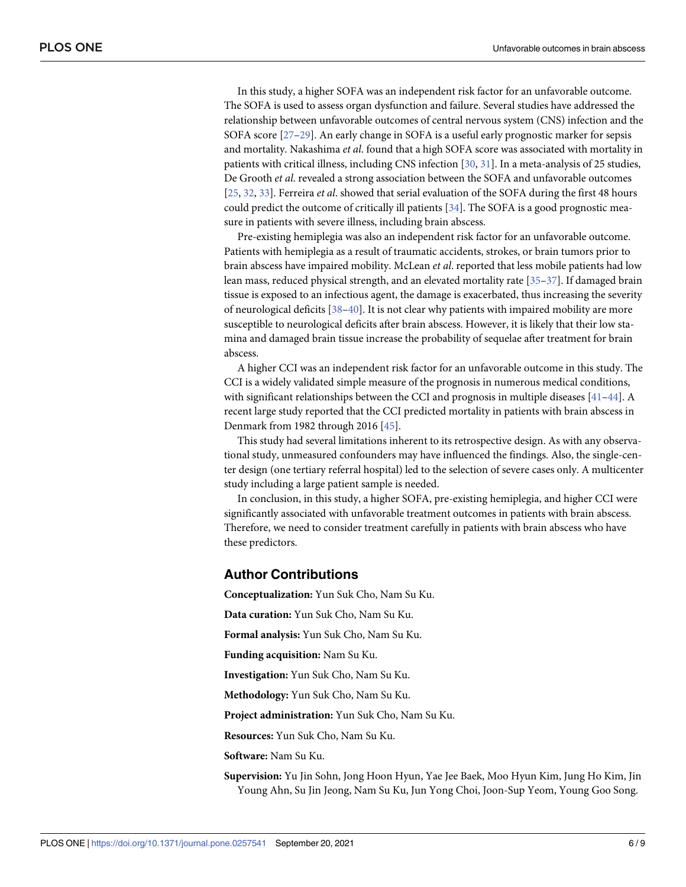<span id="page-5-0"></span>In this study, a higher SOFA was an independent risk factor for an unfavorable outcome. The SOFA is used to assess organ dysfunction and failure. Several studies have addressed the relationship between unfavorable outcomes of central nervous system (CNS) infection and the SOFA score [\[27–29](#page-7-0)]. An early change in SOFA is a useful early prognostic marker for sepsis and mortality. Nakashima *et al*. found that a high SOFA score was associated with mortality in patients with critical illness, including CNS infection [[30](#page-7-0), [31](#page-7-0)]. In a meta-analysis of 25 studies, De Grooth *et al*. revealed a strong association between the SOFA and unfavorable outcomes [\[25,](#page-7-0) [32,](#page-7-0) [33\]](#page-7-0). Ferreira *et al*. showed that serial evaluation of the SOFA during the first 48 hours could predict the outcome of critically ill patients [[34](#page-7-0)]. The SOFA is a good prognostic measure in patients with severe illness, including brain abscess.

Pre-existing hemiplegia was also an independent risk factor for an unfavorable outcome. Patients with hemiplegia as a result of traumatic accidents, strokes, or brain tumors prior to brain abscess have impaired mobility. McLean *et al*. reported that less mobile patients had low lean mass, reduced physical strength, and an elevated mortality rate [\[35–](#page-7-0)[37](#page-8-0)]. If damaged brain tissue is exposed to an infectious agent, the damage is exacerbated, thus increasing the severity of neurological deficits [\[38–40](#page-8-0)]. It is not clear why patients with impaired mobility are more susceptible to neurological deficits after brain abscess. However, it is likely that their low stamina and damaged brain tissue increase the probability of sequelae after treatment for brain abscess.

A higher CCI was an independent risk factor for an unfavorable outcome in this study. The CCI is a widely validated simple measure of the prognosis in numerous medical conditions, with significant relationships between the CCI and prognosis in multiple diseases [\[41–44](#page-8-0)]. A recent large study reported that the CCI predicted mortality in patients with brain abscess in Denmark from 1982 through 2016 [[45](#page-8-0)].

This study had several limitations inherent to its retrospective design. As with any observational study, unmeasured confounders may have influenced the findings. Also, the single-center design (one tertiary referral hospital) led to the selection of severe cases only. A multicenter study including a large patient sample is needed.

In conclusion, in this study, a higher SOFA, pre-existing hemiplegia, and higher CCI were significantly associated with unfavorable treatment outcomes in patients with brain abscess. Therefore, we need to consider treatment carefully in patients with brain abscess who have these predictors.

# **Author Contributions**

**Conceptualization:** Yun Suk Cho, Nam Su Ku.

**Data curation:** Yun Suk Cho, Nam Su Ku.

**Formal analysis:** Yun Suk Cho, Nam Su Ku.

**Funding acquisition:** Nam Su Ku.

**Investigation:** Yun Suk Cho, Nam Su Ku.

**Methodology:** Yun Suk Cho, Nam Su Ku.

**Project administration:** Yun Suk Cho, Nam Su Ku.

**Resources:** Yun Suk Cho, Nam Su Ku.

**Software:** Nam Su Ku.

**Supervision:** Yu Jin Sohn, Jong Hoon Hyun, Yae Jee Baek, Moo Hyun Kim, Jung Ho Kim, Jin Young Ahn, Su Jin Jeong, Nam Su Ku, Jun Yong Choi, Joon-Sup Yeom, Young Goo Song.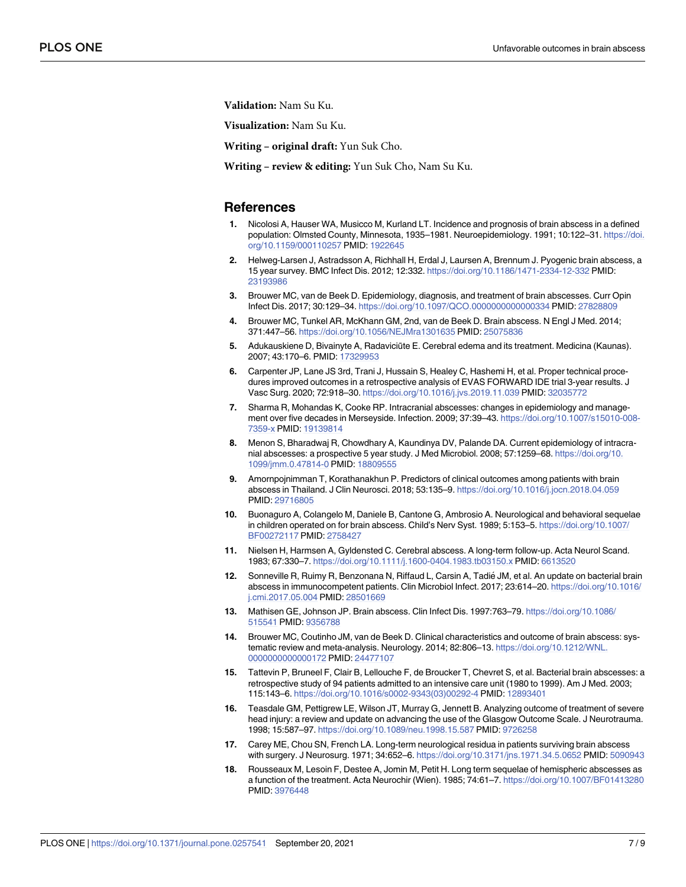<span id="page-6-0"></span>**Validation:** Nam Su Ku.

**Visualization:** Nam Su Ku.

**Writing – original draft:** Yun Suk Cho.

**Writing – review & editing:** Yun Suk Cho, Nam Su Ku.

### **References**

- **[1](#page-0-0).** Nicolosi A, Hauser WA, Musicco M, Kurland LT. Incidence and prognosis of brain abscess in a defined population: Olmsted County, Minnesota, 1935–1981. Neuroepidemiology. 1991; 10:122–31. [https://doi.](https://doi.org/10.1159/000110257) [org/10.1159/000110257](https://doi.org/10.1159/000110257) PMID: [1922645](http://www.ncbi.nlm.nih.gov/pubmed/1922645)
- **[2](#page-4-0).** Helweg-Larsen J, Astradsson A, Richhall H, Erdal J, Laursen A, Brennum J. Pyogenic brain abscess, a 15 year survey. BMC Infect Dis. 2012; 12:332. <https://doi.org/10.1186/1471-2334-12-332> PMID: [23193986](http://www.ncbi.nlm.nih.gov/pubmed/23193986)
- **[3](#page-0-0).** Brouwer MC, van de Beek D. Epidemiology, diagnosis, and treatment of brain abscesses. Curr Opin Infect Dis. 2017; 30:129–34. <https://doi.org/10.1097/QCO.0000000000000334> PMID: [27828809](http://www.ncbi.nlm.nih.gov/pubmed/27828809)
- **[4](#page-1-0).** Brouwer MC, Tunkel AR, McKhann GM, 2nd, van de Beek D. Brain abscess. N Engl J Med. 2014; 371:447–56. <https://doi.org/10.1056/NEJMra1301635> PMID: [25075836](http://www.ncbi.nlm.nih.gov/pubmed/25075836)
- **[5](#page-1-0).** Adukauskiene D, Bivainyte A, Radaviciūte E. Cerebral edema and its treatment. Medicina (Kaunas). 2007; 43:170–6. PMID: [17329953](http://www.ncbi.nlm.nih.gov/pubmed/17329953)
- **[6](#page-1-0).** Carpenter JP, Lane JS 3rd, Trani J, Hussain S, Healey C, Hashemi H, et al. Proper technical procedures improved outcomes in a retrospective analysis of EVAS FORWARD IDE trial 3-year results. J Vasc Surg. 2020; 72:918–30. <https://doi.org/10.1016/j.jvs.2019.11.039> PMID: [32035772](http://www.ncbi.nlm.nih.gov/pubmed/32035772)
- **7.** Sharma R, Mohandas K, Cooke RP. Intracranial abscesses: changes in epidemiology and management over five decades in Merseyside. Infection. 2009; 37:39–43. [https://doi.org/10.1007/s15010-008-](https://doi.org/10.1007/s15010-008-7359-x) [7359-x](https://doi.org/10.1007/s15010-008-7359-x) PMID: [19139814](http://www.ncbi.nlm.nih.gov/pubmed/19139814)
- **[8](#page-1-0).** Menon S, Bharadwaj R, Chowdhary A, Kaundinya DV, Palande DA. Current epidemiology of intracranial abscesses: a prospective 5 year study. J Med Microbiol. 2008; 57:1259–68. [https://doi.org/10.](https://doi.org/10.1099/jmm.0.47814-0) [1099/jmm.0.47814-0](https://doi.org/10.1099/jmm.0.47814-0) PMID: [18809555](http://www.ncbi.nlm.nih.gov/pubmed/18809555)
- **[9](#page-1-0).** Amornpojnimman T, Korathanakhun P. Predictors of clinical outcomes among patients with brain abscess in Thailand. J Clin Neurosci. 2018; 53:135–9. <https://doi.org/10.1016/j.jocn.2018.04.059> PMID: [29716805](http://www.ncbi.nlm.nih.gov/pubmed/29716805)
- **10.** Buonaguro A, Colangelo M, Daniele B, Cantone G, Ambrosio A. Neurological and behavioral sequelae in children operated on for brain abscess. Child's Nerv Syst. 1989; 5:153–5. [https://doi.org/10.1007/](https://doi.org/10.1007/BF00272117) [BF00272117](https://doi.org/10.1007/BF00272117) PMID: [2758427](http://www.ncbi.nlm.nih.gov/pubmed/2758427)
- **[11](#page-1-0).** Nielsen H, Harmsen A, Gyldensted C. Cerebral abscess. A long-term follow-up. Acta Neurol Scand. 1983; 67:330–7. <https://doi.org/10.1111/j.1600-0404.1983.tb03150.x> PMID: [6613520](http://www.ncbi.nlm.nih.gov/pubmed/6613520)
- **[12](#page-1-0).** Sonneville R, Ruimy R, Benzonana N, Riffaud L, Carsin A, Tadie´ JM, et al. An update on bacterial brain abscess in immunocompetent patients. Clin Microbiol Infect. 2017; 23:614–20. [https://doi.org/10.1016/](https://doi.org/10.1016/j.cmi.2017.05.004) [j.cmi.2017.05.004](https://doi.org/10.1016/j.cmi.2017.05.004) PMID: [28501669](http://www.ncbi.nlm.nih.gov/pubmed/28501669)
- **13.** Mathisen GE, Johnson JP. Brain abscess. Clin Infect Dis. 1997:763–79. [https://doi.org/10.1086/](https://doi.org/10.1086/515541) [515541](https://doi.org/10.1086/515541) PMID: [9356788](http://www.ncbi.nlm.nih.gov/pubmed/9356788)
- **14.** Brouwer MC, Coutinho JM, van de Beek D. Clinical characteristics and outcome of brain abscess: systematic review and meta-analysis. Neurology. 2014; 82:806–13. [https://doi.org/10.1212/WNL.](https://doi.org/10.1212/WNL.0000000000000172) [0000000000000172](https://doi.org/10.1212/WNL.0000000000000172) PMID: [24477107](http://www.ncbi.nlm.nih.gov/pubmed/24477107)
- **[15](#page-1-0).** Tattevin P, Bruneel F, Clair B, Lellouche F, de Broucker T, Chevret S, et al. Bacterial brain abscesses: a retrospective study of 94 patients admitted to an intensive care unit (1980 to 1999). Am J Med. 2003; 115:143–6. [https://doi.org/10.1016/s0002-9343\(03\)00292-4](https://doi.org/10.1016/s0002-9343%2803%2900292-4) PMID: [12893401](http://www.ncbi.nlm.nih.gov/pubmed/12893401)
- **[16](#page-1-0).** Teasdale GM, Pettigrew LE, Wilson JT, Murray G, Jennett B. Analyzing outcome of treatment of severe head injury: a review and update on advancing the use of the Glasgow Outcome Scale. J Neurotrauma. 1998; 15:587–97. <https://doi.org/10.1089/neu.1998.15.587> PMID: [9726258](http://www.ncbi.nlm.nih.gov/pubmed/9726258)
- **[17](#page-1-0).** Carey ME, Chou SN, French LA. Long-term neurological residua in patients surviving brain abscess with surgery. J Neurosurg. 1971; 34:652–6. <https://doi.org/10.3171/jns.1971.34.5.0652> PMID: [5090943](http://www.ncbi.nlm.nih.gov/pubmed/5090943)
- **18.** Rousseaux M, Lesoin F, Destee A, Jomin M, Petit H. Long term sequelae of hemispheric abscesses as a function of the treatment. Acta Neurochir (Wien). 1985; 74:61–7. <https://doi.org/10.1007/BF01413280> PMID: [3976448](http://www.ncbi.nlm.nih.gov/pubmed/3976448)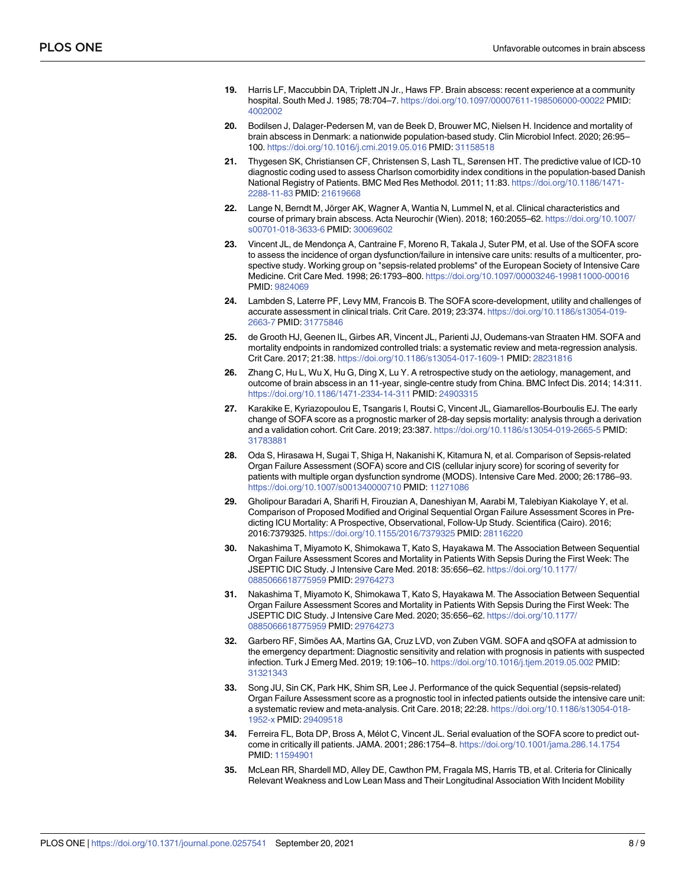- <span id="page-7-0"></span>**[19](#page-1-0).** Harris LF, Maccubbin DA, Triplett JN Jr., Haws FP. Brain abscess: recent experience at a community hospital. South Med J. 1985; 78:704–7. <https://doi.org/10.1097/00007611-198506000-00022> PMID: [4002002](http://www.ncbi.nlm.nih.gov/pubmed/4002002)
- **[20](#page-1-0).** Bodilsen J, Dalager-Pedersen M, van de Beek D, Brouwer MC, Nielsen H. Incidence and mortality of brain abscess in Denmark: a nationwide population-based study. Clin Microbiol Infect. 2020; 26:95– 100. <https://doi.org/10.1016/j.cmi.2019.05.016> PMID: [31158518](http://www.ncbi.nlm.nih.gov/pubmed/31158518)
- **21.** Thygesen SK, Christiansen CF, Christensen S, Lash TL, Sørensen HT. The predictive value of ICD-10 diagnostic coding used to assess Charlson comorbidity index conditions in the population-based Danish National Registry of Patients. BMC Med Res Methodol. 2011; 11:83. [https://doi.org/10.1186/1471-](https://doi.org/10.1186/1471-2288-11-83) [2288-11-83](https://doi.org/10.1186/1471-2288-11-83) PMID: [21619668](http://www.ncbi.nlm.nih.gov/pubmed/21619668)
- **[22](#page-1-0).** Lange N, Berndt M, Jörger AK, Wagner A, Wantia N, Lummel N, et al. Clinical characteristics and course of primary brain abscess. Acta Neurochir (Wien). 2018; 160:2055–62. [https://doi.org/10.1007/](https://doi.org/10.1007/s00701-018-3633-6) [s00701-018-3633-6](https://doi.org/10.1007/s00701-018-3633-6) PMID: [30069602](http://www.ncbi.nlm.nih.gov/pubmed/30069602)
- [23](#page-1-0). Vincent JL, de Mendonça A, Cantraine F, Moreno R, Takala J, Suter PM, et al. Use of the SOFA score to assess the incidence of organ dysfunction/failure in intensive care units: results of a multicenter, prospective study. Working group on "sepsis-related problems" of the European Society of Intensive Care Medicine. Crit Care Med. 1998; 26:1793–800. <https://doi.org/10.1097/00003246-199811000-00016> PMID: [9824069](http://www.ncbi.nlm.nih.gov/pubmed/9824069)
- **24.** Lambden S, Laterre PF, Levy MM, Francois B. The SOFA score-development, utility and challenges of accurate assessment in clinical trials. Crit Care. 2019; 23:374. [https://doi.org/10.1186/s13054-019-](https://doi.org/10.1186/s13054-019-2663-7) [2663-7](https://doi.org/10.1186/s13054-019-2663-7) PMID: [31775846](http://www.ncbi.nlm.nih.gov/pubmed/31775846)
- **[25](#page-1-0).** de Grooth HJ, Geenen IL, Girbes AR, Vincent JL, Parienti JJ, Oudemans-van Straaten HM. SOFA and mortality endpoints in randomized controlled trials: a systematic review and meta-regression analysis. Crit Care. 2017; 21:38. <https://doi.org/10.1186/s13054-017-1609-1> PMID: [28231816](http://www.ncbi.nlm.nih.gov/pubmed/28231816)
- **[26](#page-4-0).** Zhang C, Hu L, Wu X, Hu G, Ding X, Lu Y. A retrospective study on the aetiology, management, and outcome of brain abscess in an 11-year, single-centre study from China. BMC Infect Dis. 2014; 14:311. <https://doi.org/10.1186/1471-2334-14-311> PMID: [24903315](http://www.ncbi.nlm.nih.gov/pubmed/24903315)
- **[27](#page-5-0).** Karakike E, Kyriazopoulou E, Tsangaris I, Routsi C, Vincent JL, Giamarellos-Bourboulis EJ. The early change of SOFA score as a prognostic marker of 28-day sepsis mortality: analysis through a derivation and a validation cohort. Crit Care. 2019; 23:387. <https://doi.org/10.1186/s13054-019-2665-5> PMID: [31783881](http://www.ncbi.nlm.nih.gov/pubmed/31783881)
- **28.** Oda S, Hirasawa H, Sugai T, Shiga H, Nakanishi K, Kitamura N, et al. Comparison of Sepsis-related Organ Failure Assessment (SOFA) score and CIS (cellular injury score) for scoring of severity for patients with multiple organ dysfunction syndrome (MODS). Intensive Care Med. 2000; 26:1786–93. <https://doi.org/10.1007/s001340000710> PMID: [11271086](http://www.ncbi.nlm.nih.gov/pubmed/11271086)
- **[29](#page-5-0).** Gholipour Baradari A, Sharifi H, Firouzian A, Daneshiyan M, Aarabi M, Talebiyan Kiakolaye Y, et al. Comparison of Proposed Modified and Original Sequential Organ Failure Assessment Scores in Predicting ICU Mortality: A Prospective, Observational, Follow-Up Study. Scientifica (Cairo). 2016; 2016:7379325. <https://doi.org/10.1155/2016/7379325> PMID: [28116220](http://www.ncbi.nlm.nih.gov/pubmed/28116220)
- **[30](#page-5-0).** Nakashima T, Miyamoto K, Shimokawa T, Kato S, Hayakawa M. The Association Between Sequential Organ Failure Assessment Scores and Mortality in Patients With Sepsis During the First Week: The JSEPTIC DIC Study. J Intensive Care Med. 2018: 35:656–62. [https://doi.org/10.1177/](https://doi.org/10.1177/0885066618775959) [0885066618775959](https://doi.org/10.1177/0885066618775959) PMID: [29764273](http://www.ncbi.nlm.nih.gov/pubmed/29764273)
- **[31](#page-5-0).** Nakashima T, Miyamoto K, Shimokawa T, Kato S, Hayakawa M. The Association Between Sequential Organ Failure Assessment Scores and Mortality in Patients With Sepsis During the First Week: The JSEPTIC DIC Study. J Intensive Care Med. 2020; 35:656–62. [https://doi.org/10.1177/](https://doi.org/10.1177/0885066618775959) [0885066618775959](https://doi.org/10.1177/0885066618775959) PMID: [29764273](http://www.ncbi.nlm.nih.gov/pubmed/29764273)
- **[32](#page-5-0).** Garbero RF, Simões AA, Martins GA, Cruz LVD, von Zuben VGM. SOFA and qSOFA at admission to the emergency department: Diagnostic sensitivity and relation with prognosis in patients with suspected infection. Turk J Emerg Med. 2019; 19:106–10. <https://doi.org/10.1016/j.tjem.2019.05.002> PMID: [31321343](http://www.ncbi.nlm.nih.gov/pubmed/31321343)
- **[33](#page-5-0).** Song JU, Sin CK, Park HK, Shim SR, Lee J. Performance of the quick Sequential (sepsis-related) Organ Failure Assessment score as a prognostic tool in infected patients outside the intensive care unit: a systematic review and meta-analysis. Crit Care. 2018; 22:28. [https://doi.org/10.1186/s13054-018-](https://doi.org/10.1186/s13054-018-1952-x) [1952-x](https://doi.org/10.1186/s13054-018-1952-x) PMID: [29409518](http://www.ncbi.nlm.nih.gov/pubmed/29409518)
- **[34](#page-5-0).** Ferreira FL, Bota DP, Bross A, Mélot C, Vincent JL. Serial evaluation of the SOFA score to predict outcome in critically ill patients. JAMA. 2001; 286:1754–8. <https://doi.org/10.1001/jama.286.14.1754> PMID: [11594901](http://www.ncbi.nlm.nih.gov/pubmed/11594901)
- **[35](#page-5-0).** McLean RR, Shardell MD, Alley DE, Cawthon PM, Fragala MS, Harris TB, et al. Criteria for Clinically Relevant Weakness and Low Lean Mass and Their Longitudinal Association With Incident Mobility